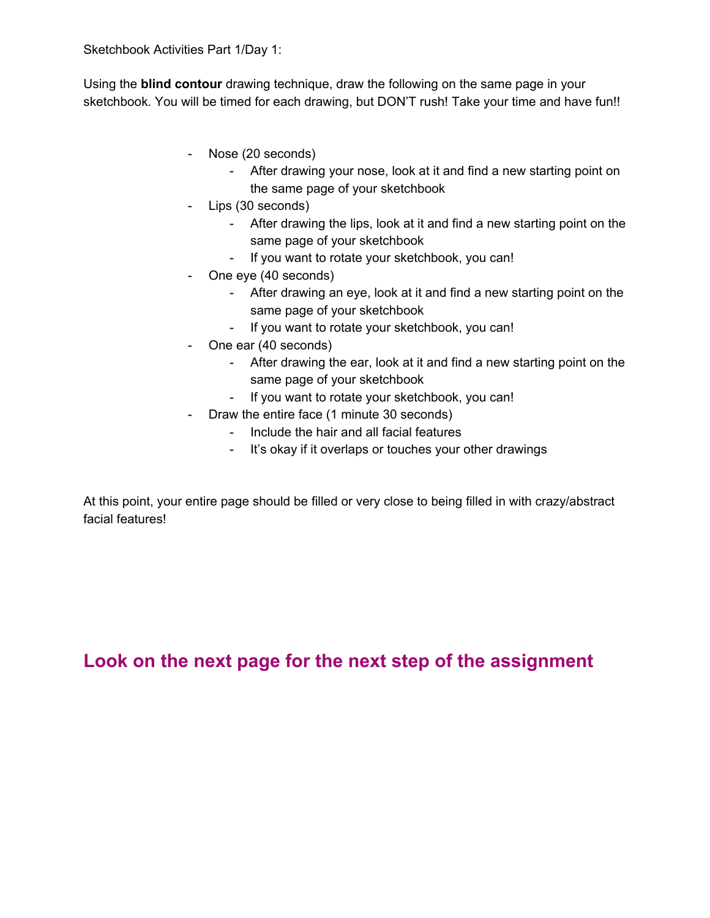Using the **blind contour** drawing technique, draw the following on the same page in your sketchbook. You will be timed for each drawing, but DON'T rush! Take your time and have fun!!

- Nose (20 seconds)
	- After drawing your nose, look at it and find a new starting point on the same page of your sketchbook
- Lips (30 seconds)
	- After drawing the lips, look at it and find a new starting point on the same page of your sketchbook
	- If you want to rotate your sketchbook, you can!
- One eye (40 seconds)
	- After drawing an eye, look at it and find a new starting point on the same page of your sketchbook
	- If you want to rotate your sketchbook, you can!
- One ear (40 seconds)
	- After drawing the ear, look at it and find a new starting point on the same page of your sketchbook
	- If you want to rotate your sketchbook, you can!
- Draw the entire face (1 minute 30 seconds)
	- Include the hair and all facial features
	- It's okay if it overlaps or touches your other drawings

At this point, your entire page should be filled or very close to being filled in with crazy/abstract facial features!

**Look on the next page for the next step of the assignment**